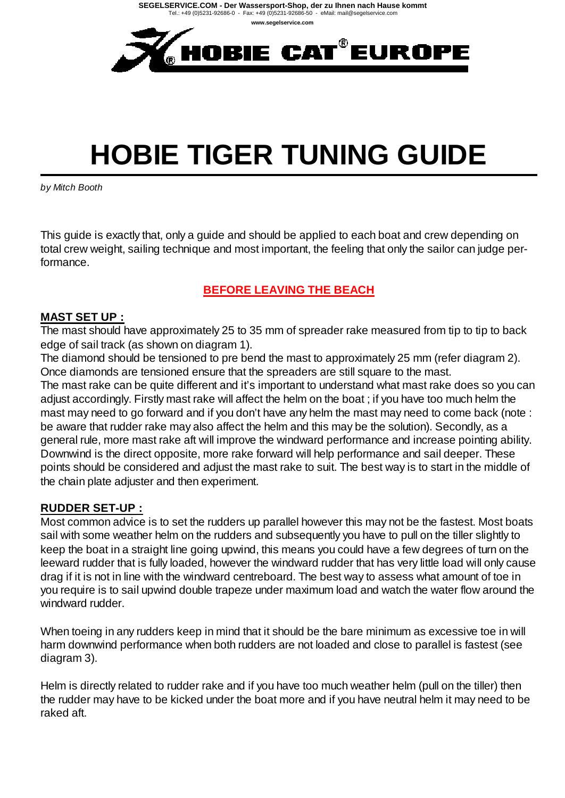

# **HOBIE TIGER TUNING GUIDE**

*by Mitch Booth*

This guide is exactly that, only a guide and should be applied to each boat and crew depending on total crew weight, sailing technique and most important, the feeling that only the sailor can judge performance.

#### **BEFORE LEAVING THE BEACH**

#### **MAST SET UP :**

The mast should have approximately 25 to 35 mm of spreader rake measured from tip to tip to back edge of sail track (as shown on diagram 1).

The diamond should be tensioned to pre bend the mast to approximately 25 mm (refer diagram 2). Once diamonds are tensioned ensure that the spreaders are still square to the mast.

The mast rake can be quite different and it's important to understand what mast rake does so you can adjust accordingly. Firstly mast rake will affect the helm on the boat ; if you have too much helm the mast may need to go forward and if you don't have any helm the mast may need to come back (note : be aware that rudder rake may also affect the helm and this may be the solution). Secondly, as a general rule, more mast rake aft will improve the windward performance and increase pointing ability. Downwind is the direct opposite, more rake forward will help performance and sail deeper. These points should be considered and adjust the mast rake to suit. The best way is to start in the middle of the chain plate adjuster and then experiment.

#### **RUDDER SET-UP :**

Most common advice is to set the rudders up parallel however this may not be the fastest. Most boats sail with some weather helm on the rudders and subsequently you have to pull on the tiller slightly to keep the boat in a straight line going upwind, this means you could have a few degrees of turn on the leeward rudder that is fully loaded, however the windward rudder that has very little load will only cause drag if it is not in line with the windward centreboard. The best way to assess what amount of toe in you require is to sail upwind double trapeze under maximum load and watch the water flow around the windward rudder.

When toeing in any rudders keep in mind that it should be the bare minimum as excessive toe in will harm downwind performance when both rudders are not loaded and close to parallel is fastest (see diagram 3).

Helm is directly related to rudder rake and if you have too much weather helm (pull on the tiller) then the rudder may have to be kicked under the boat more and if you have neutral helm it may need to be raked aft.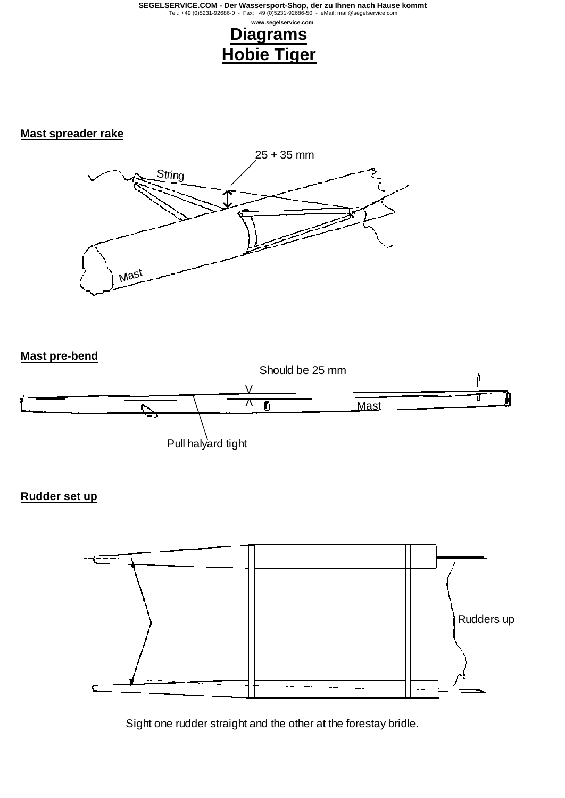# **Hobie Tiger**

## **Mast spreader rake**



#### **Mast pre-bend**



#### **Rudder set up**



Sight one rudder straight and the other at the forestay bridle.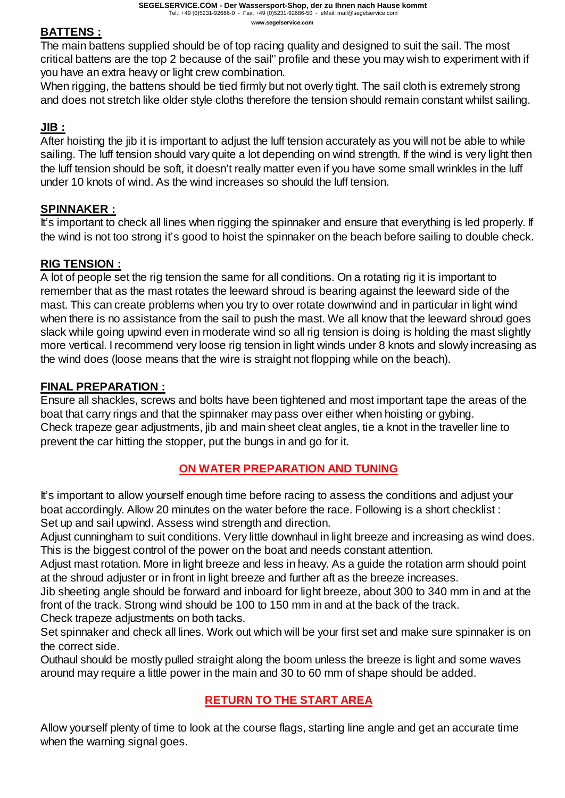The main battens supplied should be of top racing quality and designed to suit the sail. The most critical battens are the top 2 because of the sail'' profile and these you may wish to experiment with if you have an extra heavy or light crew combination.

When rigging, the battens should be tied firmly but not overly tight. The sail cloth is extremely strong and does not stretch like older style cloths therefore the tension should remain constant whilst sailing.

#### **JIB :**

After hoisting the jib it is important to adjust the luff tension accurately as you will not be able to while sailing. The luff tension should vary quite a lot depending on wind strength. If the wind is very light then the luff tension should be soft, it doesn't really matter even if you have some small wrinkles in the luff under 10 knots of wind. As the wind increases so should the luff tension.

#### **SPINNAKER :**

It's important to check all lines when rigging the spinnaker and ensure that everything is led properly. If the wind is not too strong it's good to hoist the spinnaker on the beach before sailing to double check.

#### **RIG TENSION :**

A lot of people set the rig tension the same for all conditions. On a rotating rig it is important to remember that as the mast rotates the leeward shroud is bearing against the leeward side of the mast. This can create problems when you try to over rotate downwind and in particular in light wind when there is no assistance from the sail to push the mast. We all know that the leeward shroud goes slack while going upwind even in moderate wind so all rig tension is doing is holding the mast slightly more vertical. I recommend very loose rig tension in light winds under 8 knots and slowly increasing as the wind does (loose means that the wire is straight not flopping while on the beach).

#### **FINAL PREPARATION :**

Ensure all shackles, screws and bolts have been tightened and most important tape the areas of the boat that carry rings and that the spinnaker may pass over either when hoisting or gybing. Check trapeze gear adjustments, jib and main sheet cleat angles, tie a knot in the traveller line to prevent the car hitting the stopper, put the bungs in and go for it.

#### **ON WATER PREPARATION AND TUNING**

It's important to allow yourself enough time before racing to assess the conditions and adjust your boat accordingly. Allow 20 minutes on the water before the race. Following is a short checklist : Set up and sail upwind. Assess wind strength and direction.

Adjust cunningham to suit conditions. Very little downhaul in light breeze and increasing as wind does. This is the biggest control of the power on the boat and needs constant attention.

Adjust mast rotation. More in light breeze and less in heavy. As a guide the rotation arm should point at the shroud adjuster or in front in light breeze and further aft as the breeze increases.

Jib sheeting angle should be forward and inboard for light breeze, about 300 to 340 mm in and at the front of the track. Strong wind should be 100 to 150 mm in and at the back of the track. Check trapeze adjustments on both tacks.

Set spinnaker and check all lines. Work out which will be your first set and make sure spinnaker is on the correct side.

Outhaul should be mostly pulled straight along the boom unless the breeze is light and some waves around may require a little power in the main and 30 to 60 mm of shape should be added.

### **RETURN TO THE START AREA**

Allow yourself plenty of time to look at the course flags, starting line angle and get an accurate time when the warning signal goes.